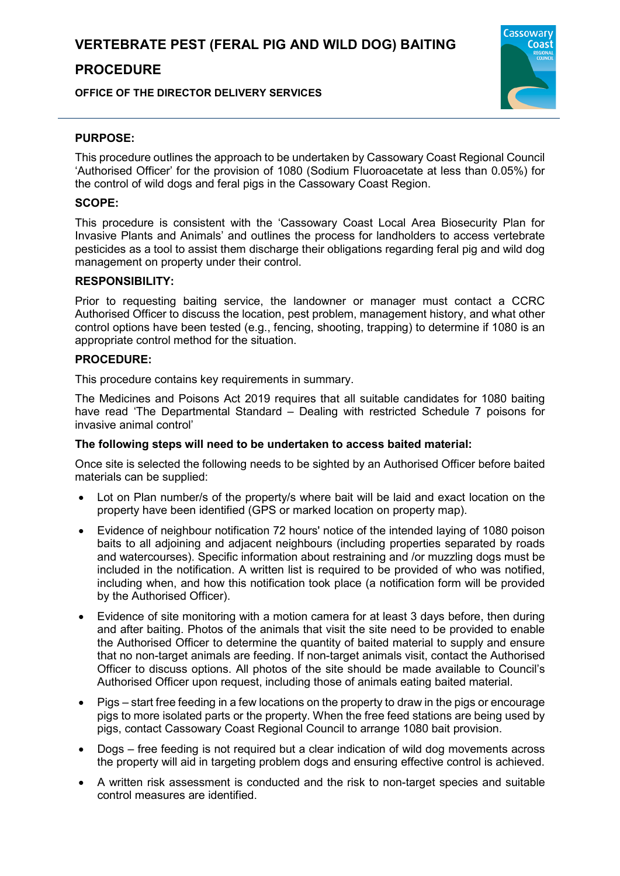## **PROCEDURE**

**OFFICE OF THE DIRECTOR DELIVERY SERVICES**



### **PURPOSE:**

This procedure outlines the approach to be undertaken by Cassowary Coast Regional Council 'Authorised Officer' for the provision of 1080 (Sodium Fluoroacetate at less than 0.05%) for the control of wild dogs and feral pigs in the Cassowary Coast Region.

### **SCOPE:**

This procedure is consistent with the 'Cassowary Coast Local Area Biosecurity Plan for Invasive Plants and Animals' and outlines the process for landholders to access vertebrate pesticides as a tool to assist them discharge their obligations regarding feral pig and wild dog management on property under their control.

### **RESPONSIBILITY:**

Prior to requesting baiting service, the landowner or manager must contact a CCRC Authorised Officer to discuss the location, pest problem, management history, and what other control options have been tested (e.g., fencing, shooting, trapping) to determine if 1080 is an appropriate control method for the situation.

### **PROCEDURE:**

This procedure contains key requirements in summary.

The Medicines and Poisons Act 2019 requires that all suitable candidates for 1080 baiting have read 'The Departmental Standard – Dealing with restricted Schedule 7 poisons for invasive animal control'

### **The following steps will need to be undertaken to access baited material:**

Once site is selected the following needs to be sighted by an Authorised Officer before baited materials can be supplied:

- Lot on Plan number/s of the property/s where bait will be laid and exact location on the property have been identified (GPS or marked location on property map).
- Evidence of neighbour notification 72 hours' notice of the intended laying of 1080 poison baits to all adjoining and adjacent neighbours (including properties separated by roads and watercourses). Specific information about restraining and /or muzzling dogs must be included in the notification. A written list is required to be provided of who was notified, including when, and how this notification took place (a notification form will be provided by the Authorised Officer).
- Evidence of site monitoring with a motion camera for at least 3 days before, then during and after baiting. Photos of the animals that visit the site need to be provided to enable the Authorised Officer to determine the quantity of baited material to supply and ensure that no non-target animals are feeding. If non-target animals visit, contact the Authorised Officer to discuss options. All photos of the site should be made available to Council's Authorised Officer upon request, including those of animals eating baited material.
- Pigs start free feeding in a few locations on the property to draw in the pigs or encourage pigs to more isolated parts or the property. When the free feed stations are being used by pigs, contact Cassowary Coast Regional Council to arrange 1080 bait provision.
- Dogs free feeding is not required but a clear indication of wild dog movements across the property will aid in targeting problem dogs and ensuring effective control is achieved.
- A written risk assessment is conducted and the risk to non-target species and suitable control measures are identified.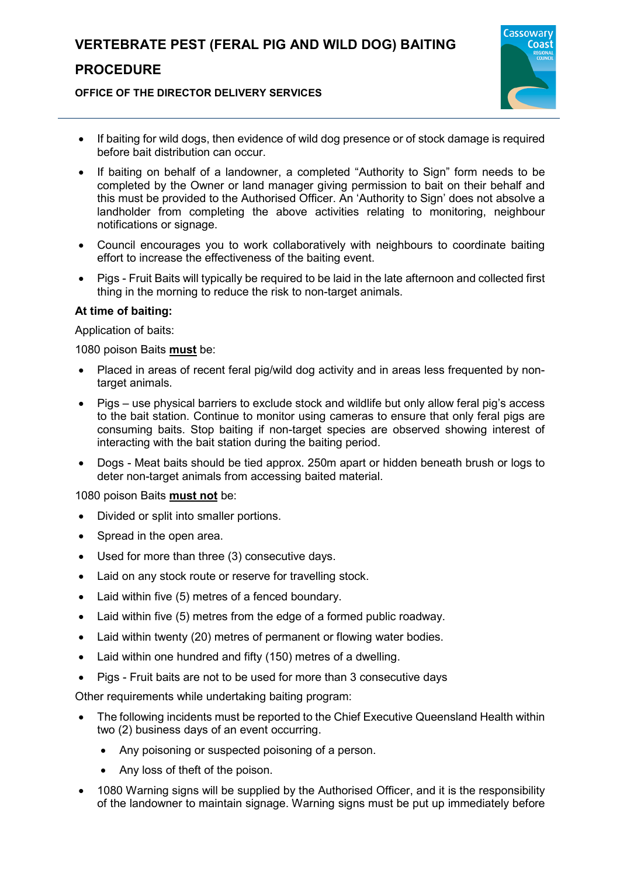# **VERTEBRATE PEST (FERAL PIG AND WILD DOG) BAITING**

## **PROCEDURE**

#### **OFFICE OF THE DIRECTOR DELIVERY SERVICES**



- If baiting for wild dogs, then evidence of wild dog presence or of stock damage is required before bait distribution can occur.
- If baiting on behalf of a landowner, a completed "Authority to Sign" form needs to be completed by the Owner or land manager giving permission to bait on their behalf and this must be provided to the Authorised Officer. An 'Authority to Sign' does not absolve a landholder from completing the above activities relating to monitoring, neighbour notifications or signage.
- Council encourages you to work collaboratively with neighbours to coordinate baiting effort to increase the effectiveness of the baiting event.
- Pigs Fruit Baits will typically be required to be laid in the late afternoon and collected first thing in the morning to reduce the risk to non-target animals.

### **At time of baiting:**

Application of baits:

1080 poison Baits **must** be:

- Placed in areas of recent feral pig/wild dog activity and in areas less frequented by nontarget animals.
- Pigs use physical barriers to exclude stock and wildlife but only allow feral pig's access to the bait station. Continue to monitor using cameras to ensure that only feral pigs are consuming baits. Stop baiting if non-target species are observed showing interest of interacting with the bait station during the baiting period.
- Dogs Meat baits should be tied approx. 250m apart or hidden beneath brush or logs to deter non-target animals from accessing baited material.

1080 poison Baits **must not** be:

- Divided or split into smaller portions.
- Spread in the open area.
- Used for more than three (3) consecutive days.
- Laid on any stock route or reserve for travelling stock.
- Laid within five (5) metres of a fenced boundary.
- Laid within five (5) metres from the edge of a formed public roadway.
- Laid within twenty (20) metres of permanent or flowing water bodies.
- Laid within one hundred and fifty (150) metres of a dwelling.
- Pigs Fruit baits are not to be used for more than 3 consecutive days

Other requirements while undertaking baiting program:

- The following incidents must be reported to the Chief Executive Queensland Health within two (2) business days of an event occurring.
	- Any poisoning or suspected poisoning of a person.
	- Any loss of theft of the poison.
- 1080 Warning signs will be supplied by the Authorised Officer, and it is the responsibility of the landowner to maintain signage. Warning signs must be put up immediately before